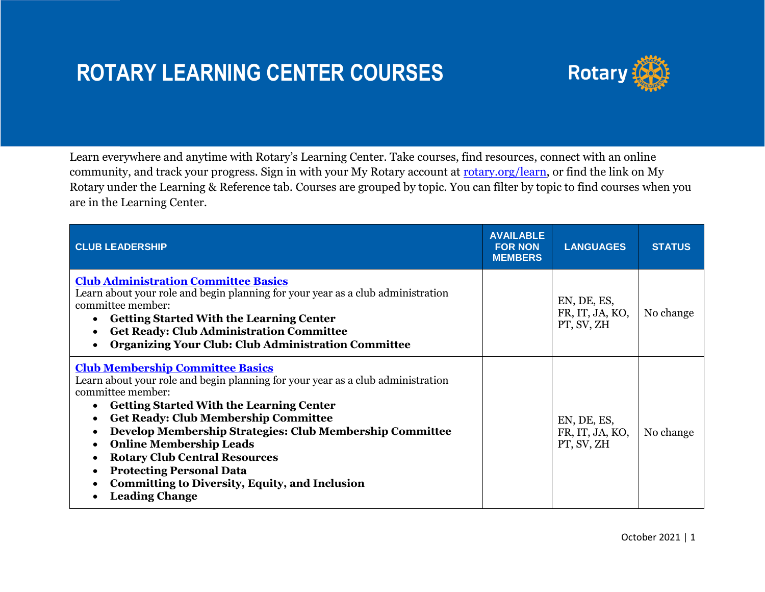## **ROTARY LEARNING CENTER COURSES**



Learn everywhere and anytime with Rotary's Learning Center. Take courses, find resources, connect with an online community, and track your progress. Sign in with your My Rotary account at [rotary.org/learn,](https://www.rotary.org/learn) or find the link on My Rotary under the Learning & Reference tab. Courses are grouped by topic. You can filter by topic to find courses when you are in the Learning Center.

| <b>CLUB LEADERSHIP</b>                                                                                                                                                                                                                                                                                                                                                                                                                                                                                       | <b>AVAILABLE</b><br><b>FOR NON</b><br><b>MEMBERS</b> | <b>LANGUAGES</b>                             | <b>STATUS</b> |
|--------------------------------------------------------------------------------------------------------------------------------------------------------------------------------------------------------------------------------------------------------------------------------------------------------------------------------------------------------------------------------------------------------------------------------------------------------------------------------------------------------------|------------------------------------------------------|----------------------------------------------|---------------|
| <b>Club Administration Committee Basics</b><br>Learn about your role and begin planning for your year as a club administration<br>committee member:<br><b>Getting Started With the Learning Center</b><br><b>Get Ready: Club Administration Committee</b><br><b>Organizing Your Club: Club Administration Committee</b>                                                                                                                                                                                      |                                                      | EN, DE, ES,<br>FR, IT, JA, KO,<br>PT, SV, ZH | No change     |
| <b>Club Membership Committee Basics</b><br>Learn about your role and begin planning for your year as a club administration<br>committee member:<br><b>Getting Started With the Learning Center</b><br><b>Get Ready: Club Membership Committee</b><br>Develop Membership Strategies: Club Membership Committee<br><b>Online Membership Leads</b><br><b>Rotary Club Central Resources</b><br><b>Protecting Personal Data</b><br><b>Committing to Diversity, Equity, and Inclusion</b><br><b>Leading Change</b> |                                                      | EN, DE, ES,<br>FR, IT, JA, KO,<br>PT, SV, ZH | No change     |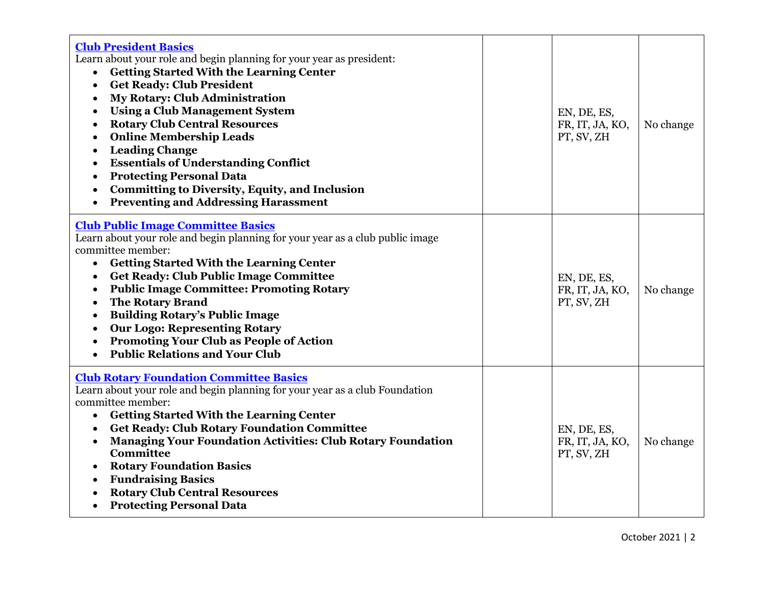| <b>Club President Basics</b><br>Learn about your role and begin planning for your year as president:<br><b>Getting Started With the Learning Center</b><br>$\bullet$<br><b>Get Ready: Club President</b><br>$\bullet$<br><b>My Rotary: Club Administration</b><br>$\bullet$<br><b>Using a Club Management System</b><br>$\bullet$<br><b>Rotary Club Central Resources</b><br>$\bullet$<br><b>Online Membership Leads</b><br>$\bullet$<br><b>Leading Change</b><br>٠<br><b>Essentials of Understanding Conflict</b><br>$\bullet$<br><b>Protecting Personal Data</b><br>$\bullet$<br><b>Committing to Diversity, Equity, and Inclusion</b><br>$\bullet$<br><b>Preventing and Addressing Harassment</b><br>$\bullet$ | EN, DE, ES,<br>FR, IT, JA, KO,<br>PT, SV, ZH | No change |
|-------------------------------------------------------------------------------------------------------------------------------------------------------------------------------------------------------------------------------------------------------------------------------------------------------------------------------------------------------------------------------------------------------------------------------------------------------------------------------------------------------------------------------------------------------------------------------------------------------------------------------------------------------------------------------------------------------------------|----------------------------------------------|-----------|
| <b>Club Public Image Committee Basics</b><br>Learn about your role and begin planning for your year as a club public image<br>committee member:<br><b>Getting Started With the Learning Center</b><br>$\bullet$<br><b>Get Ready: Club Public Image Committee</b><br>$\bullet$<br><b>Public Image Committee: Promoting Rotary</b><br>$\bullet$<br><b>The Rotary Brand</b><br>$\bullet$<br><b>Building Rotary's Public Image</b><br>$\bullet$<br><b>Our Logo: Representing Rotary</b><br>$\bullet$<br><b>Promoting Your Club as People of Action</b><br>$\bullet$<br><b>Public Relations and Your Club</b><br>$\bullet$                                                                                             | EN, DE, ES,<br>FR, IT, JA, KO,<br>PT, SV, ZH | No change |
| <b>Club Rotary Foundation Committee Basics</b><br>Learn about your role and begin planning for your year as a club Foundation<br>committee member:<br><b>Getting Started With the Learning Center</b><br>$\bullet$<br><b>Get Ready: Club Rotary Foundation Committee</b><br>$\bullet$<br><b>Managing Your Foundation Activities: Club Rotary Foundation</b><br>$\bullet$<br><b>Committee</b><br><b>Rotary Foundation Basics</b><br>$\bullet$<br><b>Fundraising Basics</b><br>$\bullet$<br><b>Rotary Club Central Resources</b><br>$\bullet$<br><b>Protecting Personal Data</b><br>$\bullet$                                                                                                                       | EN, DE, ES,<br>FR, IT, JA, KO,<br>PT, SV, ZH | No change |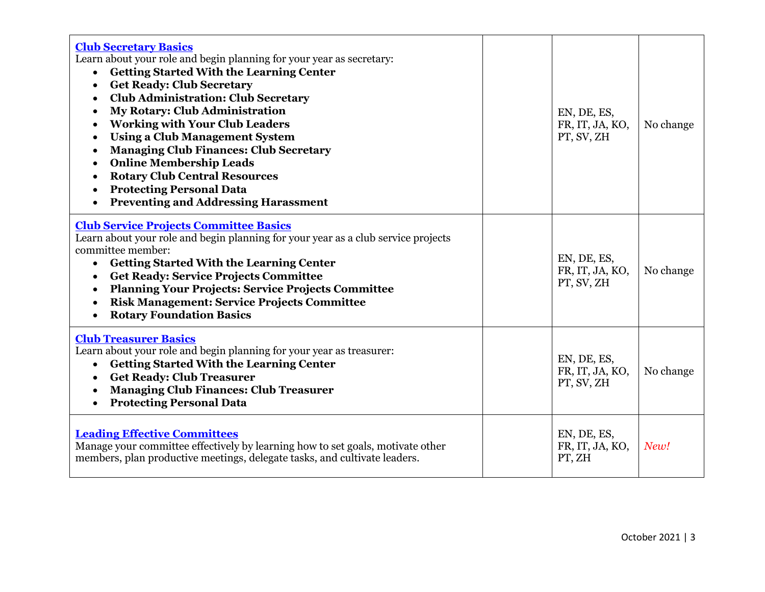| <b>Club Secretary Basics</b><br>Learn about your role and begin planning for your year as secretary:<br><b>Getting Started With the Learning Center</b><br>$\bullet$<br><b>Get Ready: Club Secretary</b><br>$\bullet$<br><b>Club Administration: Club Secretary</b><br>$\bullet$<br><b>My Rotary: Club Administration</b><br>$\bullet$<br><b>Working with Your Club Leaders</b><br><b>Using a Club Management System</b><br>$\bullet$<br><b>Managing Club Finances: Club Secretary</b><br>$\bullet$<br><b>Online Membership Leads</b><br>$\bullet$<br><b>Rotary Club Central Resources</b><br>$\bullet$<br><b>Protecting Personal Data</b><br><b>Preventing and Addressing Harassment</b> | EN, DE, ES,<br>FR, IT, JA, KO,<br>PT, SV, ZH | No change |
|-------------------------------------------------------------------------------------------------------------------------------------------------------------------------------------------------------------------------------------------------------------------------------------------------------------------------------------------------------------------------------------------------------------------------------------------------------------------------------------------------------------------------------------------------------------------------------------------------------------------------------------------------------------------------------------------|----------------------------------------------|-----------|
| <b>Club Service Projects Committee Basics</b><br>Learn about your role and begin planning for your year as a club service projects<br>committee member:<br><b>Getting Started With the Learning Center</b><br>$\bullet$<br><b>Get Ready: Service Projects Committee</b><br><b>Planning Your Projects: Service Projects Committee</b><br>$\bullet$<br><b>Risk Management: Service Projects Committee</b><br><b>Rotary Foundation Basics</b><br>$\bullet$                                                                                                                                                                                                                                   | EN, DE, ES,<br>FR, IT, JA, KO,<br>PT, SV, ZH | No change |
| <b>Club Treasurer Basics</b><br>Learn about your role and begin planning for your year as treasurer:<br><b>Getting Started With the Learning Center</b><br>$\bullet$<br><b>Get Ready: Club Treasurer</b><br>$\bullet$<br><b>Managing Club Finances: Club Treasurer</b><br><b>Protecting Personal Data</b><br>$\bullet$                                                                                                                                                                                                                                                                                                                                                                    | EN, DE, ES,<br>FR, IT, JA, KO,<br>PT, SV, ZH | No change |
| <b>Leading Effective Committees</b><br>Manage your committee effectively by learning how to set goals, motivate other<br>members, plan productive meetings, delegate tasks, and cultivate leaders.                                                                                                                                                                                                                                                                                                                                                                                                                                                                                        | EN, DE, ES,<br>FR, IT, JA, KO,<br>PT, ZH     | New!      |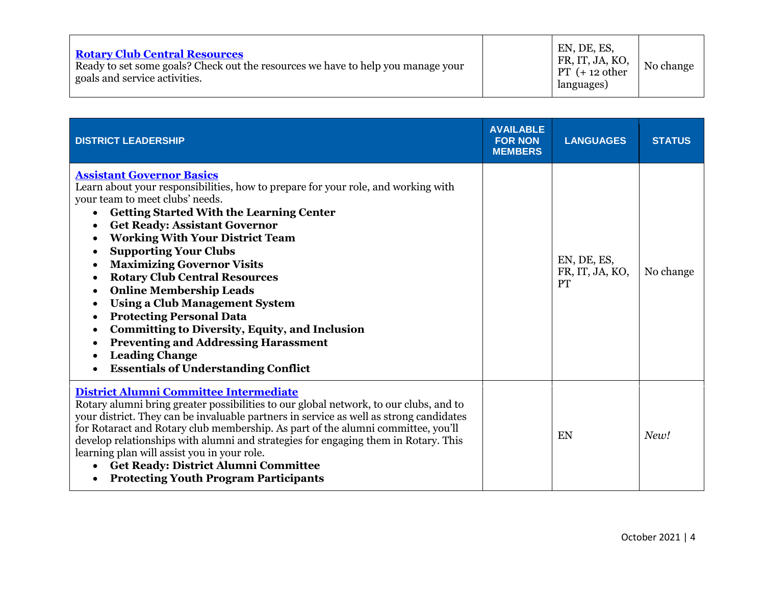| <b>Rotary Club Central Resources</b><br>Ready to set some goals? Check out the resources we have to help you manage your<br>goals and service activities. |  | EN, DE, ES,<br>FR, IT, JA, KO,<br>$PT (+ 12 other)$<br>languages) | No change |
|-----------------------------------------------------------------------------------------------------------------------------------------------------------|--|-------------------------------------------------------------------|-----------|
|-----------------------------------------------------------------------------------------------------------------------------------------------------------|--|-------------------------------------------------------------------|-----------|

| <b>DISTRICT LEADERSHIP</b>                                                                                                                                                                                                                                                                                                                                                                                                                                                                                                                                                                                                                                                                                                                                             | <b>AVAILABLE</b><br><b>FOR NON</b><br><b>MEMBERS</b> | <b>LANGUAGES</b>                            | <b>STATUS</b> |
|------------------------------------------------------------------------------------------------------------------------------------------------------------------------------------------------------------------------------------------------------------------------------------------------------------------------------------------------------------------------------------------------------------------------------------------------------------------------------------------------------------------------------------------------------------------------------------------------------------------------------------------------------------------------------------------------------------------------------------------------------------------------|------------------------------------------------------|---------------------------------------------|---------------|
| <b>Assistant Governor Basics</b><br>Learn about your responsibilities, how to prepare for your role, and working with<br>your team to meet clubs' needs.<br><b>Getting Started With the Learning Center</b><br><b>Get Ready: Assistant Governor</b><br>$\bullet$<br><b>Working With Your District Team</b><br><b>Supporting Your Clubs</b><br><b>Maximizing Governor Visits</b><br>$\bullet$<br><b>Rotary Club Central Resources</b><br>٠<br><b>Online Membership Leads</b><br>$\bullet$<br><b>Using a Club Management System</b><br><b>Protecting Personal Data</b><br>$\bullet$<br><b>Committing to Diversity, Equity, and Inclusion</b><br>٠<br><b>Preventing and Addressing Harassment</b><br><b>Leading Change</b><br><b>Essentials of Understanding Conflict</b> |                                                      | EN, DE, ES,<br>FR, IT, JA, KO,<br><b>PT</b> | No change     |
| District Alumni Committee Intermediate<br>Rotary alumni bring greater possibilities to our global network, to our clubs, and to<br>your district. They can be invaluable partners in service as well as strong candidates<br>for Rotaract and Rotary club membership. As part of the alumni committee, you'll<br>develop relationships with alumni and strategies for engaging them in Rotary. This<br>learning plan will assist you in your role.<br><b>Get Ready: District Alumni Committee</b><br><b>Protecting Youth Program Participants</b><br>$\bullet$                                                                                                                                                                                                         |                                                      | EN                                          | New!          |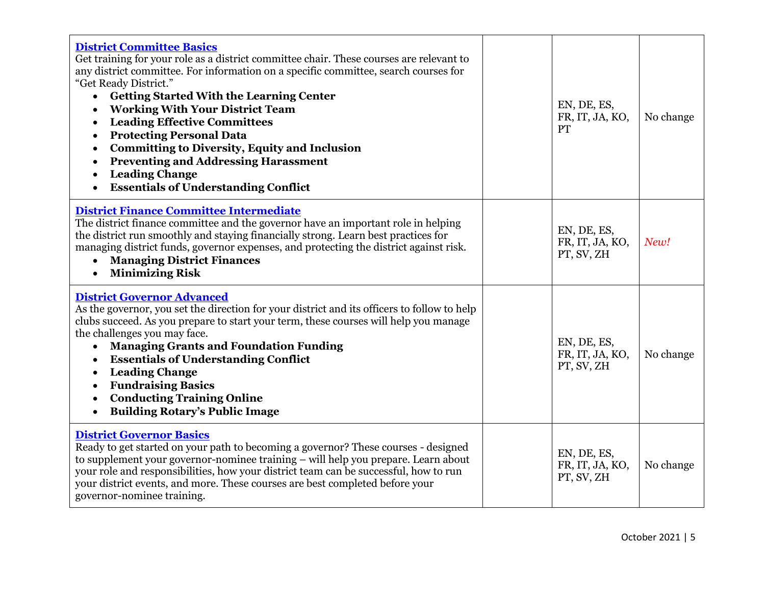| <b>District Committee Basics</b><br>Get training for your role as a district committee chair. These courses are relevant to<br>any district committee. For information on a specific committee, search courses for<br>"Get Ready District."<br><b>Getting Started With the Learning Center</b><br>$\bullet$<br><b>Working With Your District Team</b><br><b>Leading Effective Committees</b><br>$\bullet$<br><b>Protecting Personal Data</b><br>$\bullet$<br><b>Committing to Diversity, Equity and Inclusion</b><br>$\bullet$<br><b>Preventing and Addressing Harassment</b><br><b>Leading Change</b><br><b>Essentials of Understanding Conflict</b> | EN, DE, ES,<br>FR, IT, JA, KO,<br>PT         | No change |
|-------------------------------------------------------------------------------------------------------------------------------------------------------------------------------------------------------------------------------------------------------------------------------------------------------------------------------------------------------------------------------------------------------------------------------------------------------------------------------------------------------------------------------------------------------------------------------------------------------------------------------------------------------|----------------------------------------------|-----------|
| <b>District Finance Committee Intermediate</b><br>The district finance committee and the governor have an important role in helping<br>the district run smoothly and staying financially strong. Learn best practices for<br>managing district funds, governor expenses, and protecting the district against risk.<br><b>Managing District Finances</b><br>$\bullet$<br><b>Minimizing Risk</b>                                                                                                                                                                                                                                                        | EN, DE, ES,<br>FR, IT, JA, KO,<br>PT, SV, ZH | New!      |
| <b>District Governor Advanced</b><br>As the governor, you set the direction for your district and its officers to follow to help<br>clubs succeed. As you prepare to start your term, these courses will help you manage<br>the challenges you may face.<br><b>Managing Grants and Foundation Funding</b><br>$\bullet$<br><b>Essentials of Understanding Conflict</b><br>$\bullet$<br><b>Leading Change</b><br><b>Fundraising Basics</b><br>$\bullet$<br><b>Conducting Training Online</b><br>$\bullet$<br><b>Building Rotary's Public Image</b><br>$\bullet$                                                                                         | EN, DE, ES,<br>FR, IT, JA, KO,<br>PT, SV, ZH | No change |
| <b>District Governor Basics</b><br>Ready to get started on your path to becoming a governor? These courses - designed<br>to supplement your governor-nominee training – will help you prepare. Learn about<br>your role and responsibilities, how your district team can be successful, how to run<br>your district events, and more. These courses are best completed before your<br>governor-nominee training.                                                                                                                                                                                                                                      | EN, DE, ES,<br>FR, IT, JA, KO,<br>PT, SV, ZH | No change |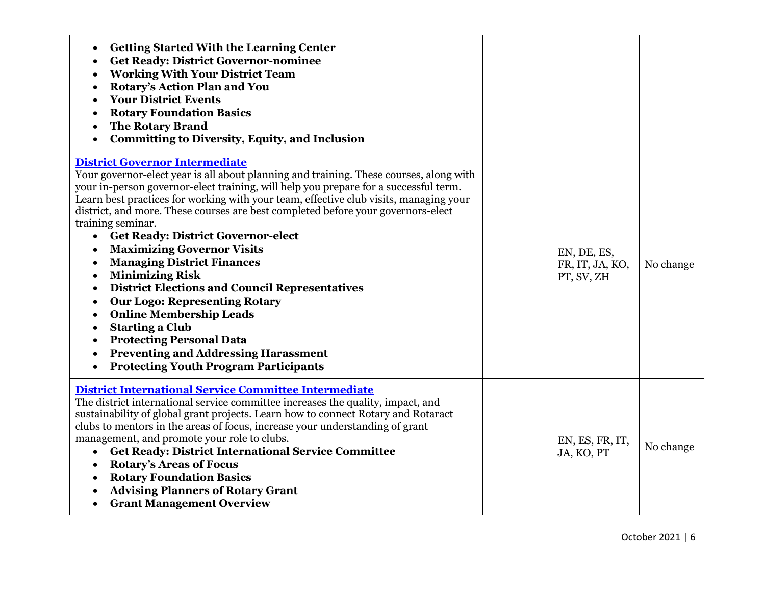| <b>Getting Started With the Learning Center</b><br>$\bullet$<br><b>Get Ready: District Governor-nominee</b><br>$\bullet$<br><b>Working With Your District Team</b><br>$\bullet$<br>Rotary's Action Plan and You<br><b>Your District Events</b><br><b>Rotary Foundation Basics</b><br><b>The Rotary Brand</b><br><b>Committing to Diversity, Equity, and Inclusion</b>                                                                                                                                                                                                                                                                                                                                                                                                                                                                                                                                                                                                             |                                              |           |
|-----------------------------------------------------------------------------------------------------------------------------------------------------------------------------------------------------------------------------------------------------------------------------------------------------------------------------------------------------------------------------------------------------------------------------------------------------------------------------------------------------------------------------------------------------------------------------------------------------------------------------------------------------------------------------------------------------------------------------------------------------------------------------------------------------------------------------------------------------------------------------------------------------------------------------------------------------------------------------------|----------------------------------------------|-----------|
| <b>District Governor Intermediate</b><br>Your governor-elect year is all about planning and training. These courses, along with<br>your in-person governor-elect training, will help you prepare for a successful term.<br>Learn best practices for working with your team, effective club visits, managing your<br>district, and more. These courses are best completed before your governors-elect<br>training seminar.<br><b>Get Ready: District Governor-elect</b><br>$\bullet$<br><b>Maximizing Governor Visits</b><br><b>Managing District Finances</b><br>$\bullet$<br><b>Minimizing Risk</b><br>$\bullet$<br><b>District Elections and Council Representatives</b><br>$\bullet$<br><b>Our Logo: Representing Rotary</b><br>$\bullet$<br><b>Online Membership Leads</b><br>$\bullet$<br><b>Starting a Club</b><br>$\bullet$<br><b>Protecting Personal Data</b><br><b>Preventing and Addressing Harassment</b><br><b>Protecting Youth Program Participants</b><br>$\bullet$ | EN, DE, ES,<br>FR, IT, JA, KO,<br>PT, SV, ZH | No change |
| <b>District International Service Committee Intermediate</b><br>The district international service committee increases the quality, impact, and<br>sustainability of global grant projects. Learn how to connect Rotary and Rotaract<br>clubs to mentors in the areas of focus, increase your understanding of grant<br>management, and promote your role to clubs.<br><b>Get Ready: District International Service Committee</b><br><b>Rotary's Areas of Focus</b><br>$\bullet$<br><b>Rotary Foundation Basics</b><br><b>Advising Planners of Rotary Grant</b><br><b>Grant Management Overview</b>                                                                                                                                                                                                                                                                                                                                                                               | EN, ES, FR, IT,<br>JA, KO, PT                | No change |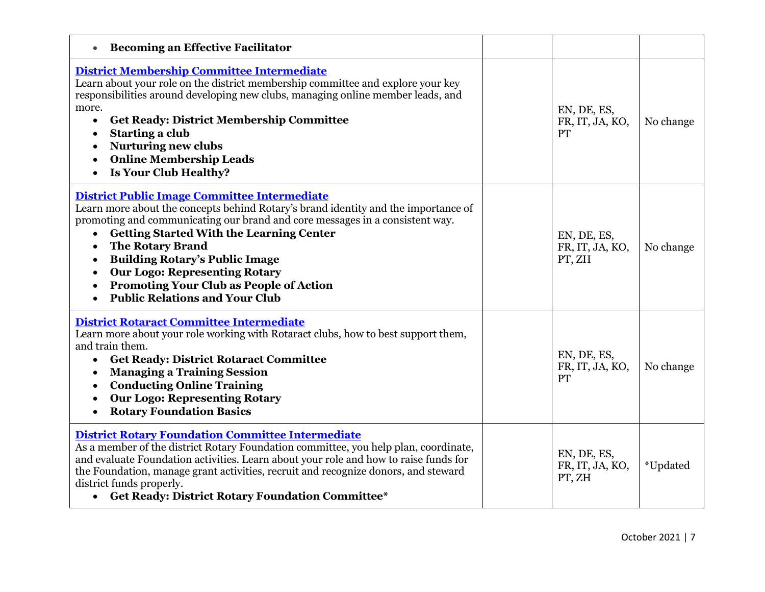| <b>Becoming an Effective Facilitator</b>                                                                                                                                                                                                                                                                                                                                                                                                                                                  |                                             |           |
|-------------------------------------------------------------------------------------------------------------------------------------------------------------------------------------------------------------------------------------------------------------------------------------------------------------------------------------------------------------------------------------------------------------------------------------------------------------------------------------------|---------------------------------------------|-----------|
| District Membership Committee Intermediate<br>Learn about your role on the district membership committee and explore your key<br>responsibilities around developing new clubs, managing online member leads, and<br>more.<br><b>Get Ready: District Membership Committee</b><br>$\bullet$<br>Starting a club<br><b>Nurturing new clubs</b><br>$\bullet$<br><b>Online Membership Leads</b><br>Is Your Club Healthy?<br>$\bullet$                                                           | EN, DE, ES,<br>FR, IT, JA, KO,<br><b>PT</b> | No change |
| District Public Image Committee Intermediate<br>Learn more about the concepts behind Rotary's brand identity and the importance of<br>promoting and communicating our brand and core messages in a consistent way.<br><b>Getting Started With the Learning Center</b><br><b>The Rotary Brand</b><br><b>Building Rotary's Public Image</b><br><b>Our Logo: Representing Rotary</b><br><b>Promoting Your Club as People of Action</b><br><b>Public Relations and Your Club</b><br>$\bullet$ | EN, DE, ES,<br>FR, IT, JA, KO,<br>PT, ZH    | No change |
| <b>District Rotaract Committee Intermediate</b><br>Learn more about your role working with Rotaract clubs, how to best support them,<br>and train them.<br><b>Get Ready: District Rotaract Committee</b><br><b>Managing a Training Session</b><br><b>Conducting Online Training</b><br><b>Our Logo: Representing Rotary</b><br><b>Rotary Foundation Basics</b>                                                                                                                            | EN, DE, ES,<br>FR, IT, JA, KO,<br>PT        | No change |
| <b>District Rotary Foundation Committee Intermediate</b><br>As a member of the district Rotary Foundation committee, you help plan, coordinate,<br>and evaluate Foundation activities. Learn about your role and how to raise funds for<br>the Foundation, manage grant activities, recruit and recognize donors, and steward<br>district funds properly.<br>• Get Ready: District Rotary Foundation Committee*                                                                           | EN, DE, ES,<br>FR, IT, JA, KO,<br>PT, ZH    | *Updated  |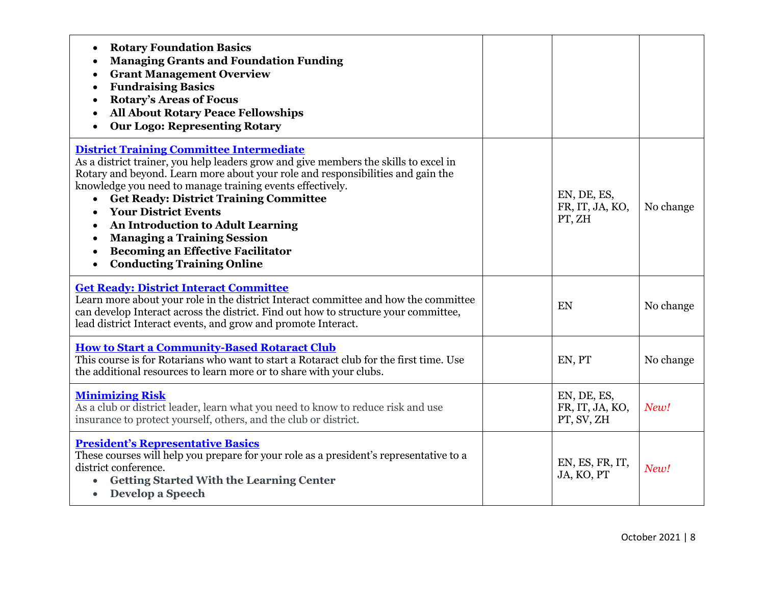| <b>Rotary Foundation Basics</b><br>$\bullet$<br><b>Managing Grants and Foundation Funding</b><br><b>Grant Management Overview</b><br><b>Fundraising Basics</b><br><b>Rotary's Areas of Focus</b><br><b>All About Rotary Peace Fellowships</b><br><b>Our Logo: Representing Rotary</b><br>$\bullet$                                                                                                                                                                                                                                                            |                                              |           |
|---------------------------------------------------------------------------------------------------------------------------------------------------------------------------------------------------------------------------------------------------------------------------------------------------------------------------------------------------------------------------------------------------------------------------------------------------------------------------------------------------------------------------------------------------------------|----------------------------------------------|-----------|
| <b>District Training Committee Intermediate</b><br>As a district trainer, you help leaders grow and give members the skills to excel in<br>Rotary and beyond. Learn more about your role and responsibilities and gain the<br>knowledge you need to manage training events effectively.<br><b>Get Ready: District Training Committee</b><br>$\bullet$<br><b>Your District Events</b><br>An Introduction to Adult Learning<br><b>Managing a Training Session</b><br><b>Becoming an Effective Facilitator</b><br><b>Conducting Training Online</b><br>$\bullet$ | EN, DE, ES,<br>FR, IT, JA, KO,<br>PT, ZH     | No change |
| <b>Get Ready: District Interact Committee</b><br>Learn more about your role in the district Interact committee and how the committee<br>can develop Interact across the district. Find out how to structure your committee,<br>lead district Interact events, and grow and promote Interact.                                                                                                                                                                                                                                                                  | EN                                           | No change |
| <b>How to Start a Community-Based Rotaract Club</b><br>This course is for Rotarians who want to start a Rotaract club for the first time. Use<br>the additional resources to learn more or to share with your clubs.                                                                                                                                                                                                                                                                                                                                          | EN, PT                                       | No change |
| <b>Minimizing Risk</b><br>As a club or district leader, learn what you need to know to reduce risk and use<br>insurance to protect yourself, others, and the club or district.                                                                                                                                                                                                                                                                                                                                                                                | EN, DE, ES,<br>FR, IT, JA, KO,<br>PT, SV, ZH | New!      |
| <b>President's Representative Basics</b><br>These courses will help you prepare for your role as a president's representative to a<br>district conference.<br><b>Getting Started With the Learning Center</b><br>• Develop a Speech                                                                                                                                                                                                                                                                                                                           | EN, ES, FR, IT,<br>JA, KO, PT                | New!      |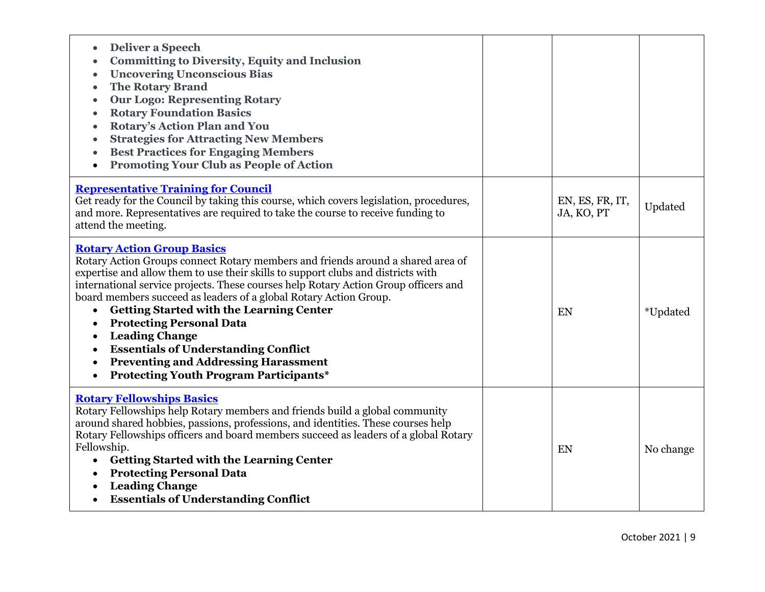| <b>Deliver a Speech</b><br>$\bullet$<br><b>Committing to Diversity, Equity and Inclusion</b><br>$\bullet$<br><b>Uncovering Unconscious Bias</b><br><b>The Rotary Brand</b><br>$\bullet$<br><b>Our Logo: Representing Rotary</b><br>$\bullet$<br><b>Rotary Foundation Basics</b><br><b>Rotary's Action Plan and You</b><br><b>Strategies for Attracting New Members</b><br><b>Best Practices for Engaging Members</b><br><b>Promoting Your Club as People of Action</b>                                                                                                                                                                                       |                               |           |
|--------------------------------------------------------------------------------------------------------------------------------------------------------------------------------------------------------------------------------------------------------------------------------------------------------------------------------------------------------------------------------------------------------------------------------------------------------------------------------------------------------------------------------------------------------------------------------------------------------------------------------------------------------------|-------------------------------|-----------|
| <b>Representative Training for Council</b><br>Get ready for the Council by taking this course, which covers legislation, procedures,<br>and more. Representatives are required to take the course to receive funding to<br>attend the meeting.                                                                                                                                                                                                                                                                                                                                                                                                               | EN, ES, FR, IT,<br>JA, KO, PT | Updated   |
| <b>Rotary Action Group Basics</b><br>Rotary Action Groups connect Rotary members and friends around a shared area of<br>expertise and allow them to use their skills to support clubs and districts with<br>international service projects. These courses help Rotary Action Group officers and<br>board members succeed as leaders of a global Rotary Action Group.<br><b>Getting Started with the Learning Center</b><br>$\bullet$<br><b>Protecting Personal Data</b><br><b>Leading Change</b><br><b>Essentials of Understanding Conflict</b><br><b>Preventing and Addressing Harassment</b><br><b>Protecting Youth Program Participants*</b><br>$\bullet$ | EN                            | *Updated  |
| <b>Rotary Fellowships Basics</b><br>Rotary Fellowships help Rotary members and friends build a global community<br>around shared hobbies, passions, professions, and identities. These courses help<br>Rotary Fellowships officers and board members succeed as leaders of a global Rotary<br>Fellowship.<br><b>Getting Started with the Learning Center</b><br>$\bullet$<br><b>Protecting Personal Data</b><br>$\bullet$<br><b>Leading Change</b><br><b>Essentials of Understanding Conflict</b>                                                                                                                                                            | EN                            | No change |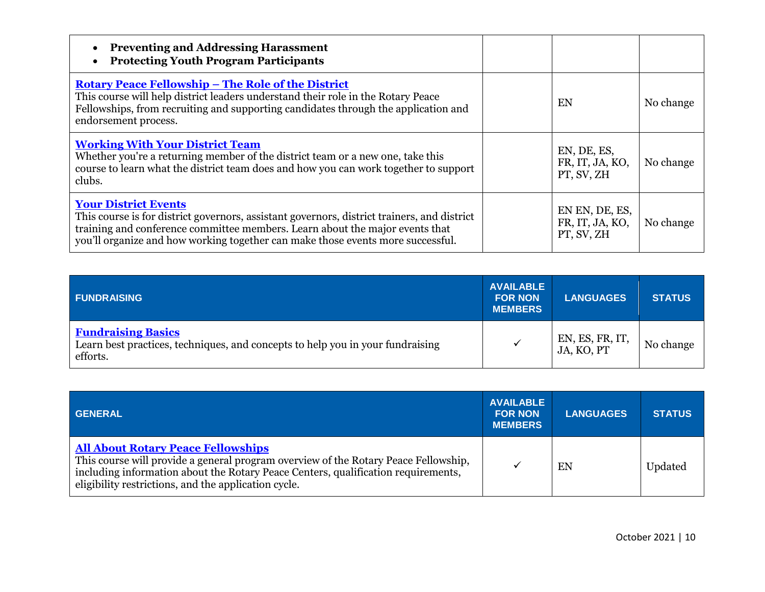| <b>Preventing and Addressing Harassment</b><br><b>Protecting Youth Program Participants</b>                                                                                                                                                                                                   |                                                 |           |
|-----------------------------------------------------------------------------------------------------------------------------------------------------------------------------------------------------------------------------------------------------------------------------------------------|-------------------------------------------------|-----------|
| <b>Rotary Peace Fellowship - The Role of the District</b><br>This course will help district leaders understand their role in the Rotary Peace<br>Fellowships, from recruiting and supporting candidates through the application and<br>endorsement process.                                   | EN                                              | No change |
| <b>Working With Your District Team</b><br>Whether you're a returning member of the district team or a new one, take this<br>course to learn what the district team does and how you can work together to support<br>clubs.                                                                    | EN, DE, ES,<br>FR, IT, JA, KO,<br>PT, SV, ZH    | No change |
| <b>Your District Events</b><br>This course is for district governors, assistant governors, district trainers, and district<br>training and conference committee members. Learn about the major events that<br>you'll organize and how working together can make those events more successful. | EN EN, DE, ES,<br>FR, IT, JA, KO,<br>PT, SV, ZH | No change |

| <b>FUNDRAISING</b>                                                                                                      | <b>AVAILABLE</b><br><b>FOR NON</b><br><b>MEMBERS</b> | <b>LANGUAGES</b>              | <b>STATUS</b> |
|-------------------------------------------------------------------------------------------------------------------------|------------------------------------------------------|-------------------------------|---------------|
| <b>Fundraising Basics</b><br>Learn best practices, techniques, and concepts to help you in your fundraising<br>efforts. |                                                      | EN, ES, FR, IT,<br>JA, KO, PT | No change     |

| <b>GENERAL</b>                                                                                                                                                                                                                                                                | <b>AVAILABLE</b><br><b>FOR NON</b><br><b>MEMBERS</b> | <b>LANGUAGES</b> | <b>STATUS</b> |
|-------------------------------------------------------------------------------------------------------------------------------------------------------------------------------------------------------------------------------------------------------------------------------|------------------------------------------------------|------------------|---------------|
| <b>All About Rotary Peace Fellowships</b><br>This course will provide a general program overview of the Rotary Peace Fellowship,<br>including information about the Rotary Peace Centers, qualification requirements,<br>eligibility restrictions, and the application cycle. |                                                      | EN               | Updated       |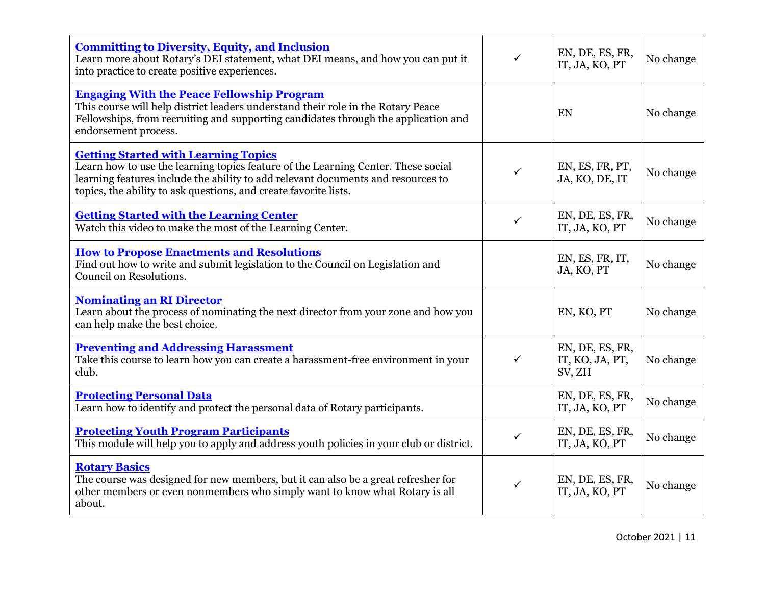| <b>Committing to Diversity, Equity, and Inclusion</b><br>Learn more about Rotary's DEI statement, what DEI means, and how you can put it<br>into practice to create positive experiences.                                                                                                | $\checkmark$ | EN, DE, ES, FR,<br>IT, JA, KO, PT            | No change |
|------------------------------------------------------------------------------------------------------------------------------------------------------------------------------------------------------------------------------------------------------------------------------------------|--------------|----------------------------------------------|-----------|
| <b>Engaging With the Peace Fellowship Program</b><br>This course will help district leaders understand their role in the Rotary Peace<br>Fellowships, from recruiting and supporting candidates through the application and<br>endorsement process.                                      |              | EN                                           | No change |
| <b>Getting Started with Learning Topics</b><br>Learn how to use the learning topics feature of the Learning Center. These social<br>learning features include the ability to add relevant documents and resources to<br>topics, the ability to ask questions, and create favorite lists. | $\checkmark$ | EN, ES, FR, PT,<br>JA, KO, DE, IT            | No change |
| <b>Getting Started with the Learning Center</b><br>Watch this video to make the most of the Learning Center.                                                                                                                                                                             | $\checkmark$ | EN, DE, ES, FR,<br>IT, JA, KO, PT            | No change |
| <b>How to Propose Enactments and Resolutions</b><br>Find out how to write and submit legislation to the Council on Legislation and<br>Council on Resolutions.                                                                                                                            |              | EN, ES, FR, IT,<br>JA, KO, PT                | No change |
| <b>Nominating an RI Director</b><br>Learn about the process of nominating the next director from your zone and how you<br>can help make the best choice.                                                                                                                                 |              | EN, KO, PT                                   | No change |
| <b>Preventing and Addressing Harassment</b><br>Take this course to learn how you can create a harassment-free environment in your<br>club.                                                                                                                                               | $\checkmark$ | EN, DE, ES, FR,<br>IT, KO, JA, PT,<br>SV, ZH | No change |
| <b>Protecting Personal Data</b><br>Learn how to identify and protect the personal data of Rotary participants.                                                                                                                                                                           |              | EN, DE, ES, FR,<br>IT, JA, KO, PT            | No change |
| <b>Protecting Youth Program Participants</b><br>This module will help you to apply and address youth policies in your club or district.                                                                                                                                                  | $\checkmark$ | EN, DE, ES, FR,<br>IT, JA, KO, PT            | No change |
| <b>Rotary Basics</b><br>The course was designed for new members, but it can also be a great refresher for<br>other members or even nonmembers who simply want to know what Rotary is all<br>about.                                                                                       | $\checkmark$ | EN, DE, ES, FR,<br>IT, JA, KO, PT            | No change |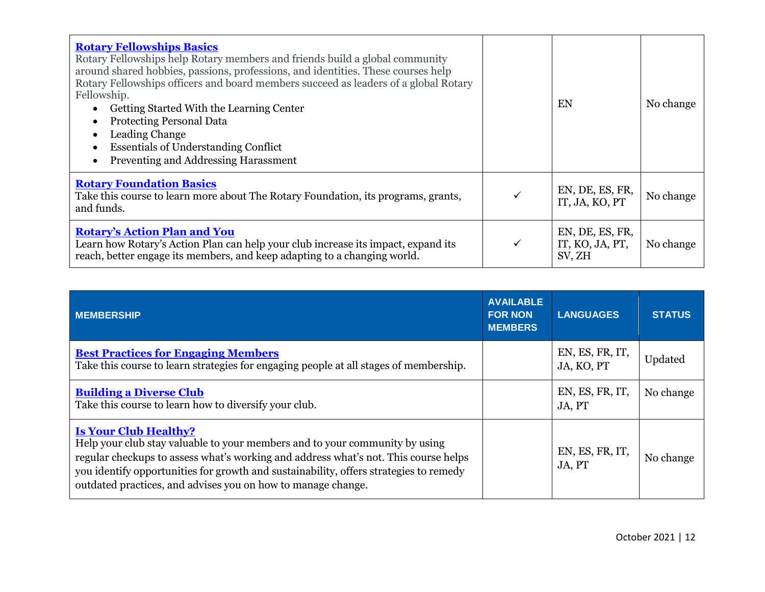| <b>Rotary Fellowships Basics</b><br>Rotary Fellowships help Rotary members and friends build a global community<br>around shared hobbies, passions, professions, and identities. These courses help<br>Rotary Fellowships officers and board members succeed as leaders of a global Rotary<br>Fellowship.<br>Getting Started With the Learning Center<br><b>Protecting Personal Data</b><br>Leading Change<br><b>Essentials of Understanding Conflict</b><br>Preventing and Addressing Harassment |   | EN                                           | No change |
|---------------------------------------------------------------------------------------------------------------------------------------------------------------------------------------------------------------------------------------------------------------------------------------------------------------------------------------------------------------------------------------------------------------------------------------------------------------------------------------------------|---|----------------------------------------------|-----------|
| <b>Rotary Foundation Basics</b><br>Take this course to learn more about The Rotary Foundation, its programs, grants,<br>and funds.                                                                                                                                                                                                                                                                                                                                                                |   | EN, DE, ES, FR,<br>IT, JA, KO, PT            | No change |
| <b>Rotary's Action Plan and You</b><br>Learn how Rotary's Action Plan can help your club increase its impact, expand its<br>reach, better engage its members, and keep adapting to a changing world.                                                                                                                                                                                                                                                                                              | ✓ | EN, DE, ES, FR,<br>IT, KO, JA, PT,<br>SV, ZH | No change |

| <b>MEMBERSHIP</b>                                                                                                                                                                                                                                                                                                                                           | <b>AVAILABLE</b><br><b>FOR NON</b><br><b>MEMBERS</b> | <b>LANGUAGES</b>              | <b>STATUS</b> |
|-------------------------------------------------------------------------------------------------------------------------------------------------------------------------------------------------------------------------------------------------------------------------------------------------------------------------------------------------------------|------------------------------------------------------|-------------------------------|---------------|
| <b>Best Practices for Engaging Members</b><br>Take this course to learn strategies for engaging people at all stages of membership.                                                                                                                                                                                                                         |                                                      | EN, ES, FR, IT,<br>JA, KO, PT | Updated       |
| <b>Building a Diverse Club</b><br>Take this course to learn how to diversify your club.                                                                                                                                                                                                                                                                     |                                                      | EN, ES, FR, IT,<br>JA, PT     | No change     |
| <b>Is Your Club Healthy?</b><br>Help your club stay valuable to your members and to your community by using<br>regular checkups to assess what's working and address what's not. This course helps<br>you identify opportunities for growth and sustainability, offers strategies to remedy<br>outdated practices, and advises you on how to manage change. |                                                      | EN, ES, FR, IT,<br>JA, PT     | No change     |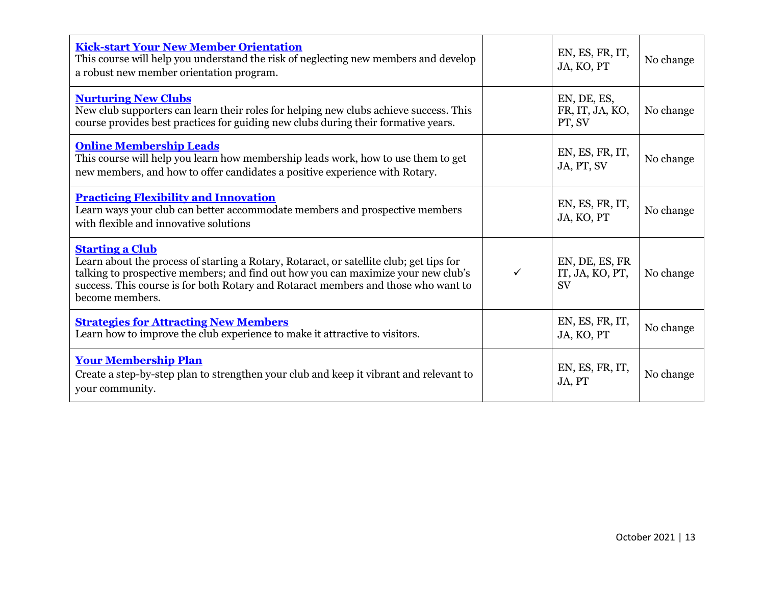| <b>Kick-start Your New Member Orientation</b><br>This course will help you understand the risk of neglecting new members and develop<br>a robust new member orientation program.                                                                                                                                |              | EN, ES, FR, IT,<br>JA, KO, PT                  | No change |
|-----------------------------------------------------------------------------------------------------------------------------------------------------------------------------------------------------------------------------------------------------------------------------------------------------------------|--------------|------------------------------------------------|-----------|
| <b>Nurturing New Clubs</b><br>New club supporters can learn their roles for helping new clubs achieve success. This<br>course provides best practices for guiding new clubs during their formative years.                                                                                                       |              | EN, DE, ES,<br>FR, IT, JA, KO,<br>PT, SV       | No change |
| <b>Online Membership Leads</b><br>This course will help you learn how membership leads work, how to use them to get<br>new members, and how to offer candidates a positive experience with Rotary.                                                                                                              |              | EN, ES, FR, IT,<br>JA, PT, SV                  | No change |
| <b>Practicing Flexibility and Innovation</b><br>Learn ways your club can better accommodate members and prospective members<br>with flexible and innovative solutions                                                                                                                                           |              | EN, ES, FR, IT,<br>JA, KO, PT                  | No change |
| <b>Starting a Club</b><br>Learn about the process of starting a Rotary, Rotaract, or satellite club; get tips for<br>talking to prospective members; and find out how you can maximize your new club's<br>success. This course is for both Rotary and Rotaract members and those who want to<br>become members. | $\checkmark$ | EN, DE, ES, FR<br>IT, JA, KO, PT,<br><b>SV</b> | No change |
| <b>Strategies for Attracting New Members</b><br>Learn how to improve the club experience to make it attractive to visitors.                                                                                                                                                                                     |              | EN, ES, FR, IT,<br>JA, KO, PT                  | No change |
| <b>Your Membership Plan</b><br>Create a step-by-step plan to strengthen your club and keep it vibrant and relevant to<br>your community.                                                                                                                                                                        |              | EN, ES, FR, IT,<br>JA, PT                      | No change |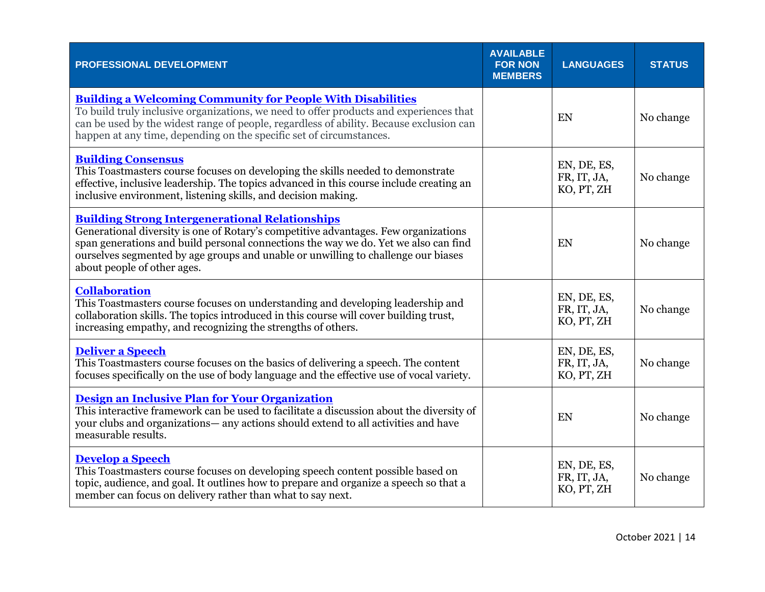| PROFESSIONAL DEVELOPMENT                                                                                                                                                                                                                                                                                                                                 | <b>AVAILABLE</b><br><b>FOR NON</b><br><b>MEMBERS</b> | <b>LANGUAGES</b>                         | <b>STATUS</b> |
|----------------------------------------------------------------------------------------------------------------------------------------------------------------------------------------------------------------------------------------------------------------------------------------------------------------------------------------------------------|------------------------------------------------------|------------------------------------------|---------------|
| <b>Building a Welcoming Community for People With Disabilities</b><br>To build truly inclusive organizations, we need to offer products and experiences that<br>can be used by the widest range of people, regardless of ability. Because exclusion can<br>happen at any time, depending on the specific set of circumstances.                           |                                                      | EN                                       | No change     |
| <b>Building Consensus</b><br>This Toastmasters course focuses on developing the skills needed to demonstrate<br>effective, inclusive leadership. The topics advanced in this course include creating an<br>inclusive environment, listening skills, and decision making.                                                                                 |                                                      | EN, DE, ES,<br>FR, IT, JA,<br>KO, PT, ZH | No change     |
| <b>Building Strong Intergenerational Relationships</b><br>Generational diversity is one of Rotary's competitive advantages. Few organizations<br>span generations and build personal connections the way we do. Yet we also can find<br>ourselves segmented by age groups and unable or unwilling to challenge our biases<br>about people of other ages. |                                                      | EN                                       | No change     |
| <b>Collaboration</b><br>This Toastmasters course focuses on understanding and developing leadership and<br>collaboration skills. The topics introduced in this course will cover building trust,<br>increasing empathy, and recognizing the strengths of others.                                                                                         |                                                      | EN, DE, ES,<br>FR, IT, JA,<br>KO, PT, ZH | No change     |
| <b>Deliver a Speech</b><br>This Toastmasters course focuses on the basics of delivering a speech. The content<br>focuses specifically on the use of body language and the effective use of vocal variety.                                                                                                                                                |                                                      | EN, DE, ES,<br>FR, IT, JA,<br>KO, PT, ZH | No change     |
| Design an Inclusive Plan for Your Organization<br>This interactive framework can be used to facilitate a discussion about the diversity of<br>your clubs and organizations— any actions should extend to all activities and have<br>measurable results.                                                                                                  |                                                      | EN                                       | No change     |
| <b>Develop a Speech</b><br>This Toastmasters course focuses on developing speech content possible based on<br>topic, audience, and goal. It outlines how to prepare and organize a speech so that a<br>member can focus on delivery rather than what to say next.                                                                                        |                                                      | EN, DE, ES,<br>FR, IT, JA,<br>KO, PT, ZH | No change     |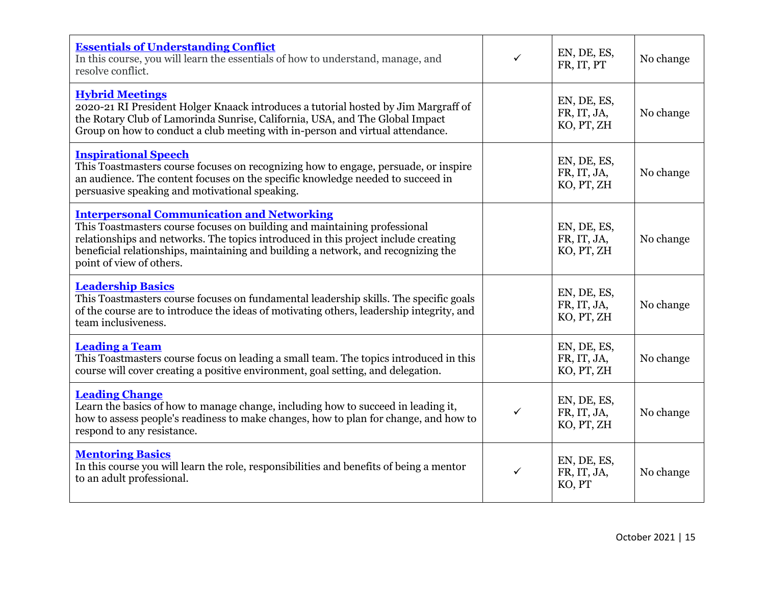| <b>Essentials of Understanding Conflict</b><br>In this course, you will learn the essentials of how to understand, manage, and<br>resolve conflict.                                                                                                                                                                                   | ✓            | EN, DE, ES,<br>FR, IT, PT                | No change |
|---------------------------------------------------------------------------------------------------------------------------------------------------------------------------------------------------------------------------------------------------------------------------------------------------------------------------------------|--------------|------------------------------------------|-----------|
| <b>Hybrid Meetings</b><br>2020-21 RI President Holger Knaack introduces a tutorial hosted by Jim Margraff of<br>the Rotary Club of Lamorinda Sunrise, California, USA, and The Global Impact<br>Group on how to conduct a club meeting with in-person and virtual attendance.                                                         |              | EN, DE, ES,<br>FR, IT, JA,<br>KO, PT, ZH | No change |
| <b>Inspirational Speech</b><br>This Toastmasters course focuses on recognizing how to engage, persuade, or inspire<br>an audience. The content focuses on the specific knowledge needed to succeed in<br>persuasive speaking and motivational speaking.                                                                               |              | EN, DE, ES,<br>FR, IT, JA,<br>KO, PT, ZH | No change |
| <b>Interpersonal Communication and Networking</b><br>This Toastmasters course focuses on building and maintaining professional<br>relationships and networks. The topics introduced in this project include creating<br>beneficial relationships, maintaining and building a network, and recognizing the<br>point of view of others. |              | EN, DE, ES,<br>FR, IT, JA,<br>KO, PT, ZH | No change |
| <b>Leadership Basics</b><br>This Toastmasters course focuses on fundamental leadership skills. The specific goals<br>of the course are to introduce the ideas of motivating others, leadership integrity, and<br>team inclusiveness.                                                                                                  |              | EN, DE, ES,<br>FR, IT, JA,<br>KO, PT, ZH | No change |
| <b>Leading a Team</b><br>This Toastmasters course focus on leading a small team. The topics introduced in this<br>course will cover creating a positive environment, goal setting, and delegation.                                                                                                                                    |              | EN, DE, ES,<br>FR, IT, JA,<br>KO, PT, ZH | No change |
| <b>Leading Change</b><br>Learn the basics of how to manage change, including how to succeed in leading it,<br>how to assess people's readiness to make changes, how to plan for change, and how to<br>respond to any resistance.                                                                                                      | $\checkmark$ | EN, DE, ES,<br>FR, IT, JA,<br>KO, PT, ZH | No change |
| <b>Mentoring Basics</b><br>In this course you will learn the role, responsibilities and benefits of being a mentor<br>to an adult professional.                                                                                                                                                                                       | $\checkmark$ | EN, DE, ES,<br>FR, IT, JA,<br>KO, PT     | No change |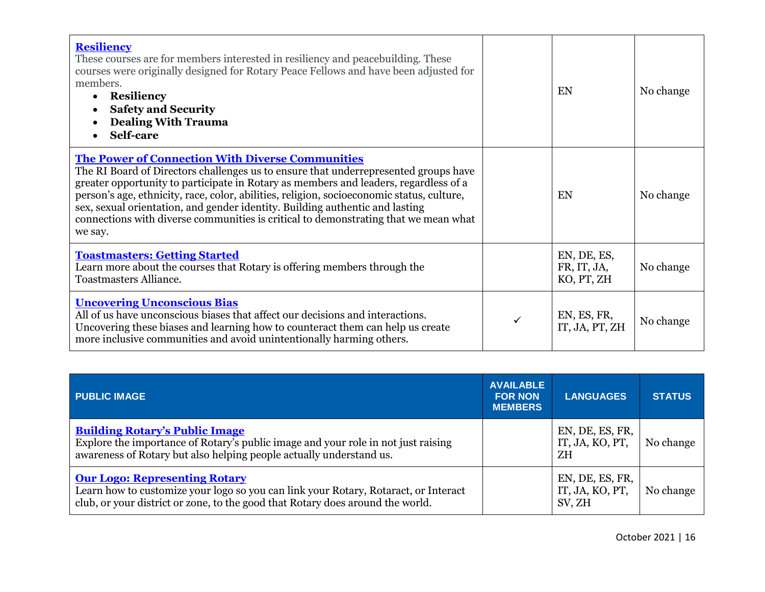| <b>Resiliency</b><br>These courses are for members interested in resiliency and peacebuilding. These<br>courses were originally designed for Rotary Peace Fellows and have been adjusted for<br>members.<br><b>Resiliency</b><br><b>Safety and Security</b><br><b>Dealing With Trauma</b><br><b>Self-care</b>                                                                                                                                                                                                         | EN                                       | No change |
|-----------------------------------------------------------------------------------------------------------------------------------------------------------------------------------------------------------------------------------------------------------------------------------------------------------------------------------------------------------------------------------------------------------------------------------------------------------------------------------------------------------------------|------------------------------------------|-----------|
| <b>The Power of Connection With Diverse Communities</b><br>The RI Board of Directors challenges us to ensure that underrepresented groups have<br>greater opportunity to participate in Rotary as members and leaders, regardless of a<br>person's age, ethnicity, race, color, abilities, religion, socioeconomic status, culture,<br>sex, sexual orientation, and gender identity. Building authentic and lasting<br>connections with diverse communities is critical to demonstrating that we mean what<br>we say. | EN                                       | No change |
| <b>Toastmasters: Getting Started</b><br>Learn more about the courses that Rotary is offering members through the<br><b>Toastmasters Alliance.</b>                                                                                                                                                                                                                                                                                                                                                                     | EN, DE, ES,<br>FR, IT, JA,<br>KO, PT, ZH | No change |
| <b>Uncovering Unconscious Bias</b><br>All of us have unconscious biases that affect our decisions and interactions.<br>Uncovering these biases and learning how to counteract them can help us create<br>more inclusive communities and avoid unintentionally harming others.                                                                                                                                                                                                                                         | EN, ES, FR,<br>IT, JA, PT, ZH            | No change |

| <b>PUBLIC IMAGE</b>                                                                                                                                                                                           | <b>AVAILABLE</b><br><b>FOR NON</b><br><b>MEMBERS</b> | <b>LANGUAGES</b>                             | <b>STATUS</b> |
|---------------------------------------------------------------------------------------------------------------------------------------------------------------------------------------------------------------|------------------------------------------------------|----------------------------------------------|---------------|
| <b>Building Rotary's Public Image</b><br>Explore the importance of Rotary's public image and your role in not just raising<br>awareness of Rotary but also helping people actually understand us.             |                                                      | EN, DE, ES, FR,<br>IT, JA, KO, PT,<br>ZH     | No change     |
| <b>Our Logo: Representing Rotary</b><br>Learn how to customize your logo so you can link your Rotary, Rotaract, or Interact<br>club, or your district or zone, to the good that Rotary does around the world. |                                                      | EN, DE, ES, FR,<br>IT, JA, KO, PT,<br>SV, ZH | No change     |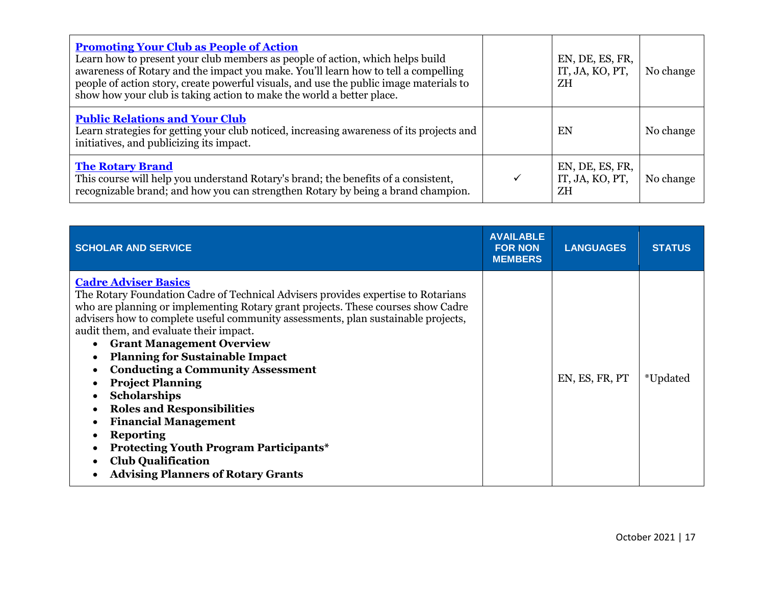| <b>Promoting Your Club as People of Action</b><br>Learn how to present your club members as people of action, which helps build<br>awareness of Rotary and the impact you make. You'll learn how to tell a compelling<br>people of action story, create powerful visuals, and use the public image materials to<br>show how your club is taking action to make the world a better place. |   | EN, DE, ES, FR,<br>IT, JA, KO, PT,<br>ΖH | No change |
|------------------------------------------------------------------------------------------------------------------------------------------------------------------------------------------------------------------------------------------------------------------------------------------------------------------------------------------------------------------------------------------|---|------------------------------------------|-----------|
| <b>Public Relations and Your Club</b><br>Learn strategies for getting your club noticed, increasing awareness of its projects and<br>initiatives, and publicizing its impact.                                                                                                                                                                                                            |   | EN                                       | No change |
| <b>The Rotary Brand</b><br>This course will help you understand Rotary's brand; the benefits of a consistent,<br>recognizable brand; and how you can strengthen Rotary by being a brand champion.                                                                                                                                                                                        | ✓ | EN, DE, ES, FR,<br>IT, JA, KO, PT,<br>ZΗ | No change |

| <b>SCHOLAR AND SERVICE</b>                                                                                                                                                                                                                                                                                                                                                                                                                                                                                                                                                                                                                                                                                                         | <b>AVAILABLE</b><br><b>FOR NON</b><br><b>MEMBERS</b> | <b>LANGUAGES</b> | <b>STATUS</b> |
|------------------------------------------------------------------------------------------------------------------------------------------------------------------------------------------------------------------------------------------------------------------------------------------------------------------------------------------------------------------------------------------------------------------------------------------------------------------------------------------------------------------------------------------------------------------------------------------------------------------------------------------------------------------------------------------------------------------------------------|------------------------------------------------------|------------------|---------------|
| <b>Cadre Adviser Basics</b><br>The Rotary Foundation Cadre of Technical Advisers provides expertise to Rotarians<br>who are planning or implementing Rotary grant projects. These courses show Cadre<br>advisers how to complete useful community assessments, plan sustainable projects,<br>audit them, and evaluate their impact.<br><b>Grant Management Overview</b><br><b>Planning for Sustainable Impact</b><br><b>Conducting a Community Assessment</b><br><b>Project Planning</b><br><b>Scholarships</b><br><b>Roles and Responsibilities</b><br><b>Financial Management</b><br><b>Reporting</b><br><b>Protecting Youth Program Participants*</b><br><b>Club Qualification</b><br><b>Advising Planners of Rotary Grants</b> |                                                      | EN, ES, FR, PT   | *Updated      |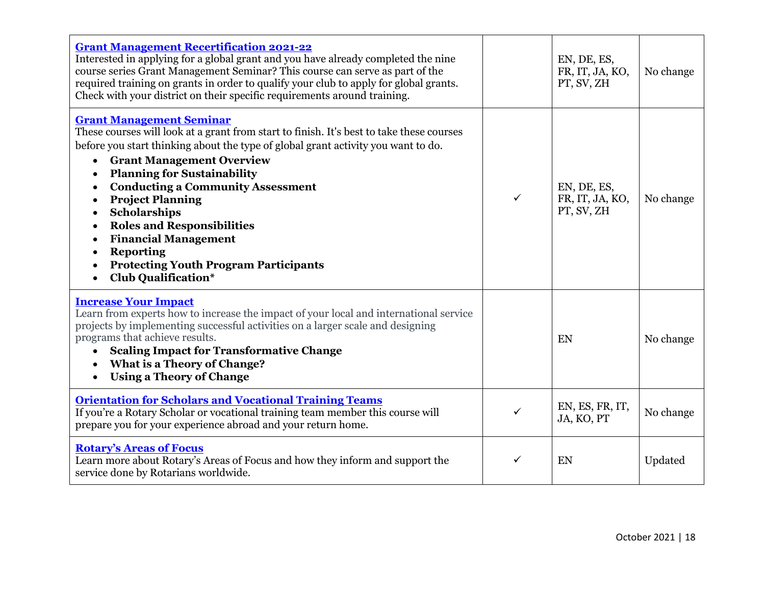| <b>Grant Management Recertification 2021-22</b><br>Interested in applying for a global grant and you have already completed the nine<br>course series Grant Management Seminar? This course can serve as part of the<br>required training on grants in order to qualify your club to apply for global grants.<br>Check with your district on their specific requirements around training.                                                                                                                                                                                                                               |              | EN, DE, ES,<br>FR, IT, JA, KO,<br>PT, SV, ZH | No change |
|-------------------------------------------------------------------------------------------------------------------------------------------------------------------------------------------------------------------------------------------------------------------------------------------------------------------------------------------------------------------------------------------------------------------------------------------------------------------------------------------------------------------------------------------------------------------------------------------------------------------------|--------------|----------------------------------------------|-----------|
| <b>Grant Management Seminar</b><br>These courses will look at a grant from start to finish. It's best to take these courses<br>before you start thinking about the type of global grant activity you want to do.<br><b>Grant Management Overview</b><br><b>Planning for Sustainability</b><br>$\bullet$<br><b>Conducting a Community Assessment</b><br>$\bullet$<br><b>Project Planning</b><br>$\bullet$<br><b>Scholarships</b><br>$\bullet$<br><b>Roles and Responsibilities</b><br><b>Financial Management</b><br>٠<br><b>Reporting</b><br><b>Protecting Youth Program Participants</b><br><b>Club Qualification*</b> | $\checkmark$ | EN, DE, ES,<br>FR, IT, JA, KO,<br>PT, SV, ZH | No change |
| <b>Increase Your Impact</b><br>Learn from experts how to increase the impact of your local and international service<br>projects by implementing successful activities on a larger scale and designing<br>programs that achieve results.<br><b>Scaling Impact for Transformative Change</b><br><b>What is a Theory of Change?</b><br><b>Using a Theory of Change</b><br>$\bullet$                                                                                                                                                                                                                                       |              | EN                                           | No change |
| <b>Orientation for Scholars and Vocational Training Teams</b><br>If you're a Rotary Scholar or vocational training team member this course will<br>prepare you for your experience abroad and your return home.                                                                                                                                                                                                                                                                                                                                                                                                         | $\checkmark$ | EN, ES, FR, IT,<br>JA, KO, PT                | No change |
| <b>Rotary's Areas of Focus</b><br>Learn more about Rotary's Areas of Focus and how they inform and support the<br>service done by Rotarians worldwide.                                                                                                                                                                                                                                                                                                                                                                                                                                                                  | $\checkmark$ | EN                                           | Updated   |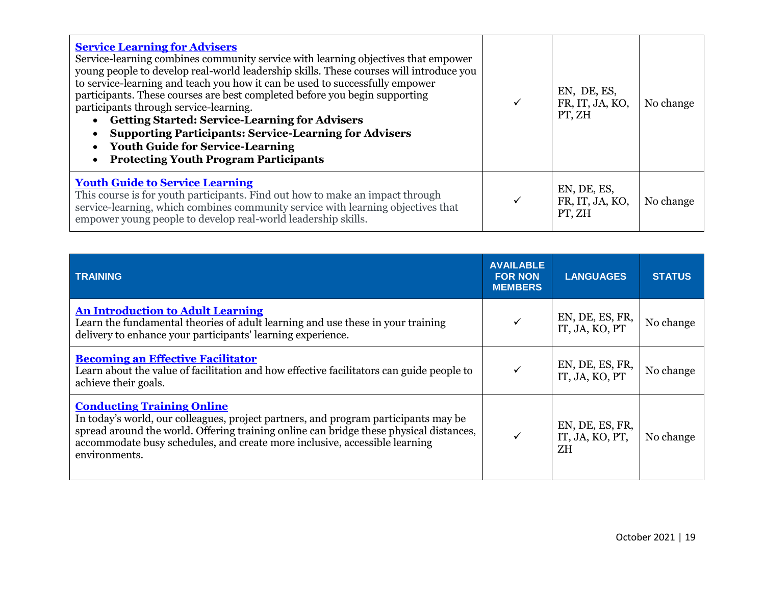| <b>Service Learning for Advisers</b><br>Service-learning combines community service with learning objectives that empower<br>young people to develop real-world leadership skills. These courses will introduce you<br>to service-learning and teach you how it can be used to successfully empower<br>participants. These courses are best completed before you begin supporting<br>participants through service-learning.<br><b>Getting Started: Service-Learning for Advisers</b><br><b>Supporting Participants: Service-Learning for Advisers</b><br><b>Youth Guide for Service-Learning</b><br><b>Protecting Youth Program Participants</b> | EN, DE, ES,<br>FR, IT, JA, KO,<br>PT, ZH | No change |
|--------------------------------------------------------------------------------------------------------------------------------------------------------------------------------------------------------------------------------------------------------------------------------------------------------------------------------------------------------------------------------------------------------------------------------------------------------------------------------------------------------------------------------------------------------------------------------------------------------------------------------------------------|------------------------------------------|-----------|
| <b>Youth Guide to Service Learning</b><br>This course is for youth participants. Find out how to make an impact through<br>service-learning, which combines community service with learning objectives that<br>empower young people to develop real-world leadership skills.                                                                                                                                                                                                                                                                                                                                                                     | EN, DE, ES,<br>FR, IT, JA, KO,<br>PT, ZH | No change |

| <b>TRAINING</b>                                                                                                                                                                                                                                                                                                   | <b>AVAILABLE</b><br><b>FOR NON</b><br><b>MEMBERS</b> | <b>LANGUAGES</b>                         | <b>STATUS</b> |
|-------------------------------------------------------------------------------------------------------------------------------------------------------------------------------------------------------------------------------------------------------------------------------------------------------------------|------------------------------------------------------|------------------------------------------|---------------|
| <b>An Introduction to Adult Learning</b><br>Learn the fundamental theories of adult learning and use these in your training<br>delivery to enhance your participants' learning experience.                                                                                                                        | $\checkmark$                                         | EN, DE, ES, FR,<br>IT, JA, KO, PT        | No change     |
| <b>Becoming an Effective Facilitator</b><br>Learn about the value of facilitation and how effective facilitators can guide people to<br>achieve their goals.                                                                                                                                                      | $\checkmark$                                         | EN, DE, ES, FR,<br>IT, JA, KO, PT        | No change     |
| <b>Conducting Training Online</b><br>In today's world, our colleagues, project partners, and program participants may be<br>spread around the world. Offering training online can bridge these physical distances,<br>accommodate busy schedules, and create more inclusive, accessible learning<br>environments. | $\checkmark$                                         | EN, DE, ES, FR,<br>IT, JA, KO, PT,<br>ZΗ | No change     |